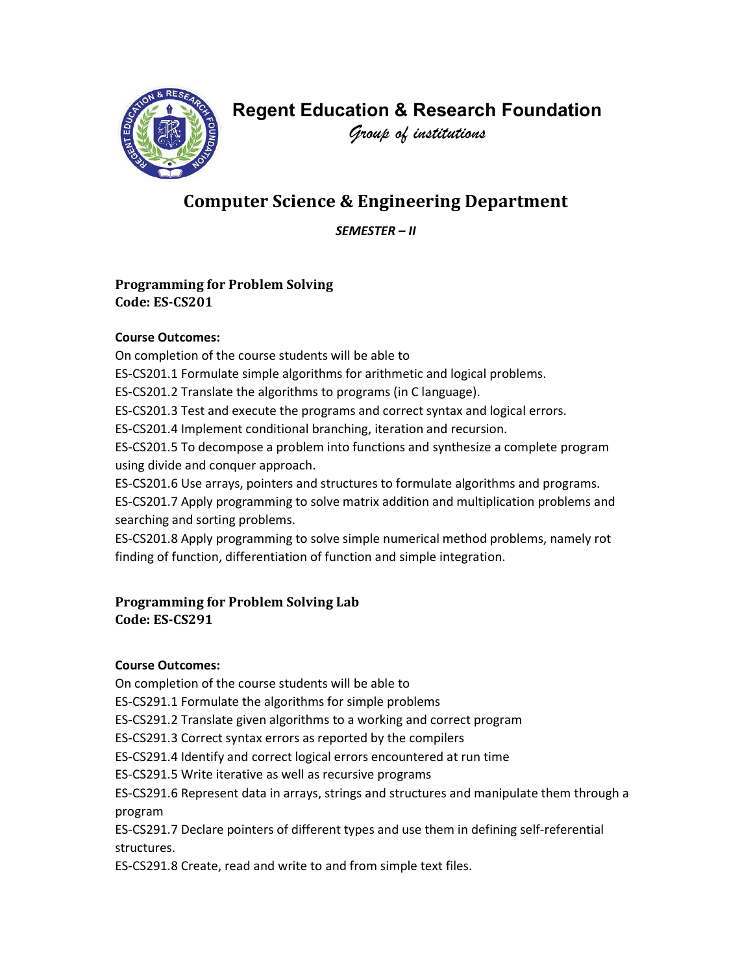

# Regent Education & Research Foundation

Group of institutions

# Computer Science & Engineering Department

SEMESTER – II

# Programming for Problem Solving Code: ES-CS201

## Course Outcomes:

On completion of the course students will be able to

ES-CS201.1 Formulate simple algorithms for arithmetic and logical problems.

ES-CS201.2 Translate the algorithms to programs (in C language).

ES-CS201.3 Test and execute the programs and correct syntax and logical errors.

ES-CS201.4 Implement conditional branching, iteration and recursion.

ES-CS201.5 To decompose a problem into functions and synthesize a complete program using divide and conquer approach.

ES-CS201.6 Use arrays, pointers and structures to formulate algorithms and programs.

ES-CS201.7 Apply programming to solve matrix addition and multiplication problems and searching and sorting problems.

ES-CS201.8 Apply programming to solve simple numerical method problems, namely rot finding of function, differentiation of function and simple integration.

# Programming for Problem Solving Lab Code: ES-CS291

# Course Outcomes:

On completion of the course students will be able to

ES-CS291.1 Formulate the algorithms for simple problems

ES-CS291.2 Translate given algorithms to a working and correct program

ES-CS291.3 Correct syntax errors as reported by the compilers

ES-CS291.4 Identify and correct logical errors encountered at run time

ES-CS291.5 Write iterative as well as recursive programs

ES-CS291.6 Represent data in arrays, strings and structures and manipulate them through a program

ES-CS291.7 Declare pointers of different types and use them in defining self-referential structures.

ES-CS291.8 Create, read and write to and from simple text files.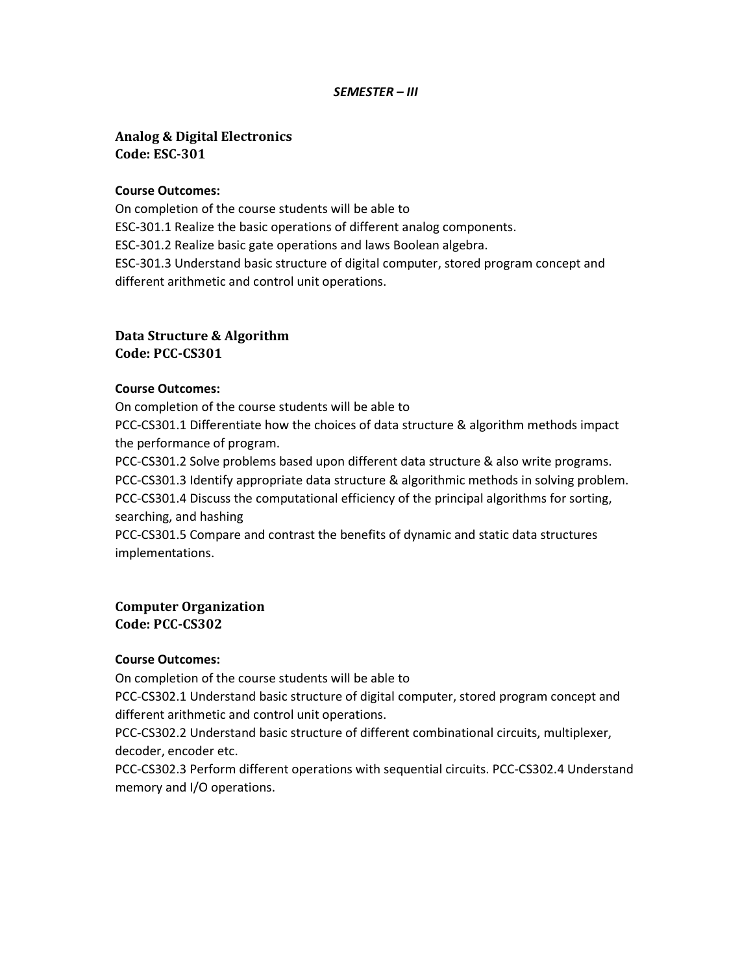#### SEMESTER – III

## Analog & Digital Electronics Code: ESC-301

#### Course Outcomes:

On completion of the course students will be able to ESC-301.1 Realize the basic operations of different analog components. ESC-301.2 Realize basic gate operations and laws Boolean algebra. ESC-301.3 Understand basic structure of digital computer, stored program concept and different arithmetic and control unit operations.

# Data Structure & Algorithm

Code: PCC-CS301

#### Course Outcomes:

On completion of the course students will be able to

PCC-CS301.1 Differentiate how the choices of data structure & algorithm methods impact the performance of program.

PCC-CS301.2 Solve problems based upon different data structure & also write programs. PCC-CS301.3 Identify appropriate data structure & algorithmic methods in solving problem. PCC-CS301.4 Discuss the computational efficiency of the principal algorithms for sorting, searching, and hashing

PCC-CS301.5 Compare and contrast the benefits of dynamic and static data structures implementations.

Computer Organization Code: PCC-CS302

#### Course Outcomes:

On completion of the course students will be able to

PCC-CS302.1 Understand basic structure of digital computer, stored program concept and different arithmetic and control unit operations.

PCC-CS302.2 Understand basic structure of different combinational circuits, multiplexer, decoder, encoder etc.

PCC-CS302.3 Perform different operations with sequential circuits. PCC-CS302.4 Understand memory and I/O operations.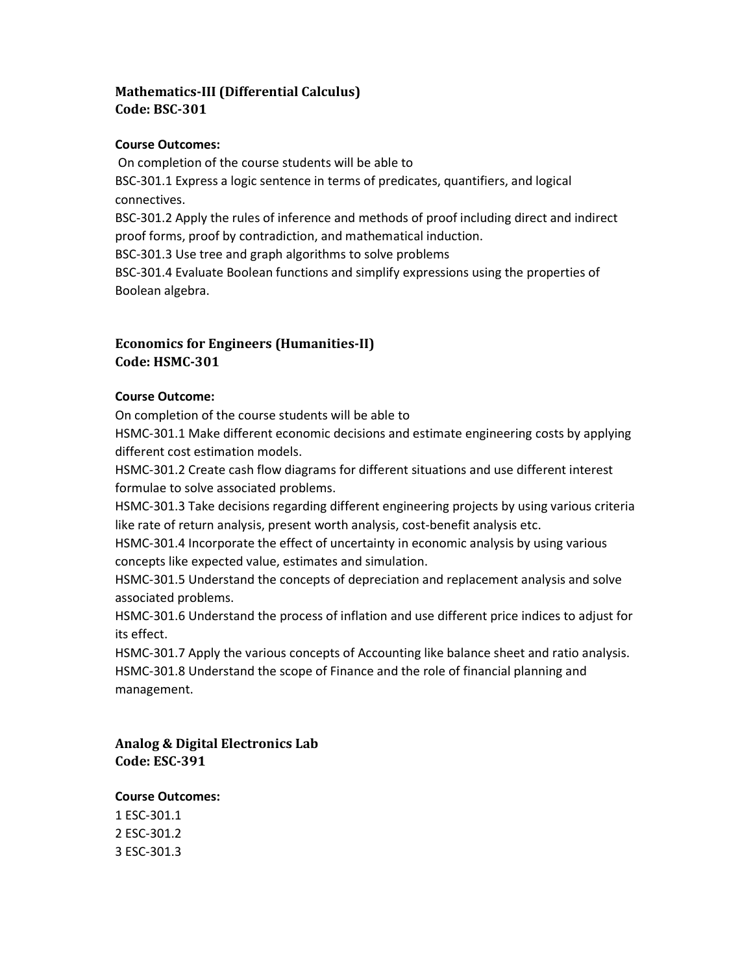# Mathematics-III (Differential Calculus) Code: BSC-301

#### Course Outcomes:

 On completion of the course students will be able to BSC-301.1 Express a logic sentence in terms of predicates, quantifiers, and logical connectives. BSC-301.2 Apply the rules of inference and methods of proof including direct and indirect proof forms, proof by contradiction, and mathematical induction. BSC-301.3 Use tree and graph algorithms to solve problems BSC-301.4 Evaluate Boolean functions and simplify expressions using the properties of Boolean algebra.

# Economics for Engineers (Humanities-II) Code: HSMC-301

#### Course Outcome:

On completion of the course students will be able to

HSMC-301.1 Make different economic decisions and estimate engineering costs by applying different cost estimation models.

HSMC-301.2 Create cash flow diagrams for different situations and use different interest formulae to solve associated problems.

HSMC-301.3 Take decisions regarding different engineering projects by using various criteria like rate of return analysis, present worth analysis, cost-benefit analysis etc.

HSMC-301.4 Incorporate the effect of uncertainty in economic analysis by using various concepts like expected value, estimates and simulation.

HSMC-301.5 Understand the concepts of depreciation and replacement analysis and solve associated problems.

HSMC-301.6 Understand the process of inflation and use different price indices to adjust for its effect.

HSMC-301.7 Apply the various concepts of Accounting like balance sheet and ratio analysis. HSMC-301.8 Understand the scope of Finance and the role of financial planning and management.

Analog & Digital Electronics Lab Code: ESC-391

#### Course Outcomes:

1 ESC-301.1 2 ESC-301.2 3 ESC-301.3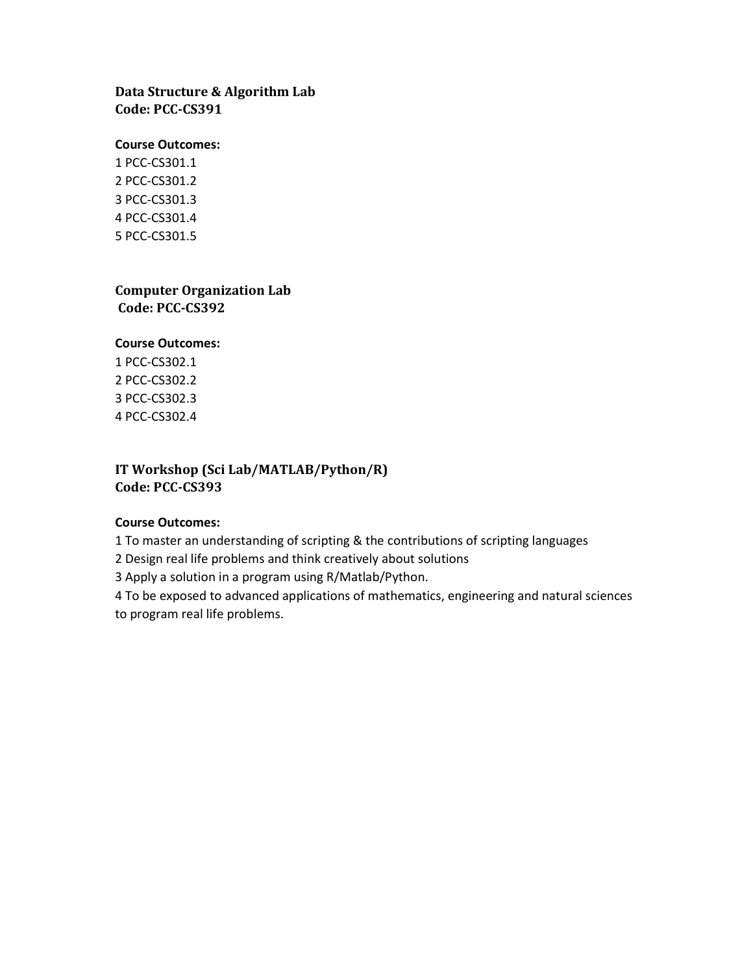# Data Structure & Algorithm Lab Code: PCC-CS391

#### Course Outcomes:

1 PCC-CS301.1 2 PCC-CS301.2 3 PCC-CS301.3 4 PCC-CS301.4 5 PCC-CS301.5

#### Computer Organization Lab Code: PCC-CS392

#### Course Outcomes:

1 PCC-CS302.1 2 PCC-CS302.2 3 PCC-CS302.3 4 PCC-CS302.4

## IT Workshop (Sci Lab/MATLAB/Python/R) Code: PCC-CS393

#### Course Outcomes:

1 To master an understanding of scripting & the contributions of scripting languages

2 Design real life problems and think creatively about solutions

3 Apply a solution in a program using R/Matlab/Python.

4 To be exposed to advanced applications of mathematics, engineering and natural sciences to program real life problems.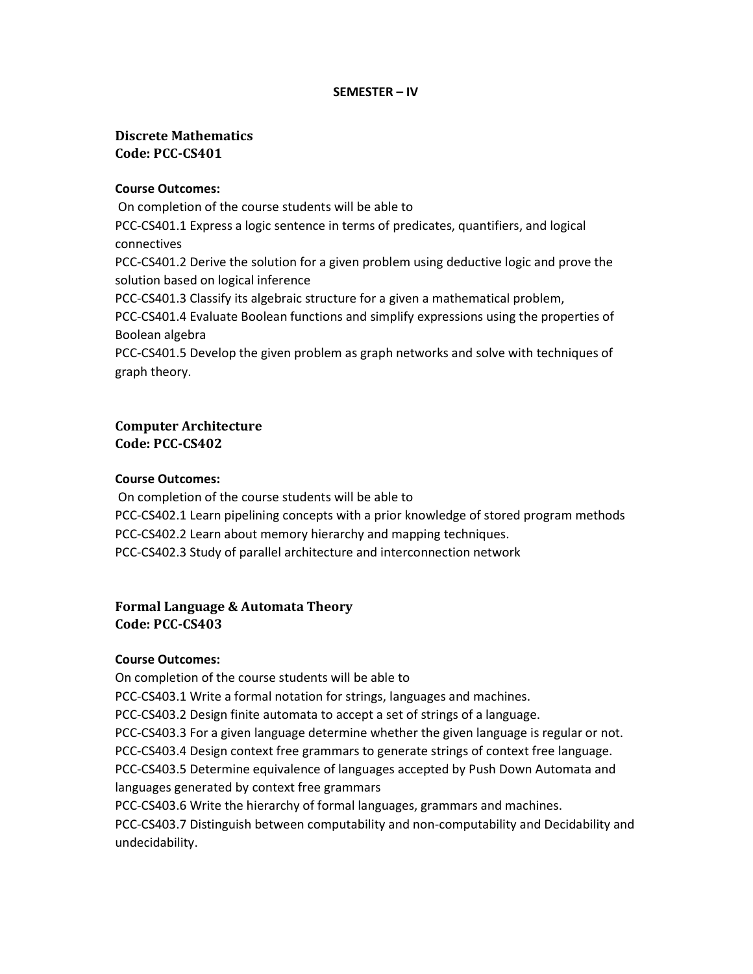#### SEMESTER – IV

## Discrete Mathematics Code: PCC-CS401

#### Course Outcomes:

 On completion of the course students will be able to PCC-CS401.1 Express a logic sentence in terms of predicates, quantifiers, and logical connectives PCC-CS401.2 Derive the solution for a given problem using deductive logic and prove the solution based on logical inference PCC-CS401.3 Classify its algebraic structure for a given a mathematical problem, PCC-CS401.4 Evaluate Boolean functions and simplify expressions using the properties of Boolean algebra PCC-CS401.5 Develop the given problem as graph networks and solve with techniques of graph theory.

## Computer Architecture Code: PCC-CS402

#### Course Outcomes:

 On completion of the course students will be able to PCC-CS402.1 Learn pipelining concepts with a prior knowledge of stored program methods PCC-CS402.2 Learn about memory hierarchy and mapping techniques. PCC-CS402.3 Study of parallel architecture and interconnection network

## Formal Language & Automata Theory Code: PCC-CS403

#### Course Outcomes:

On completion of the course students will be able to

PCC-CS403.1 Write a formal notation for strings, languages and machines.

PCC-CS403.2 Design finite automata to accept a set of strings of a language.

PCC-CS403.3 For a given language determine whether the given language is regular or not.

PCC-CS403.4 Design context free grammars to generate strings of context free language.

PCC-CS403.5 Determine equivalence of languages accepted by Push Down Automata and languages generated by context free grammars

PCC-CS403.6 Write the hierarchy of formal languages, grammars and machines.

PCC-CS403.7 Distinguish between computability and non-computability and Decidability and undecidability.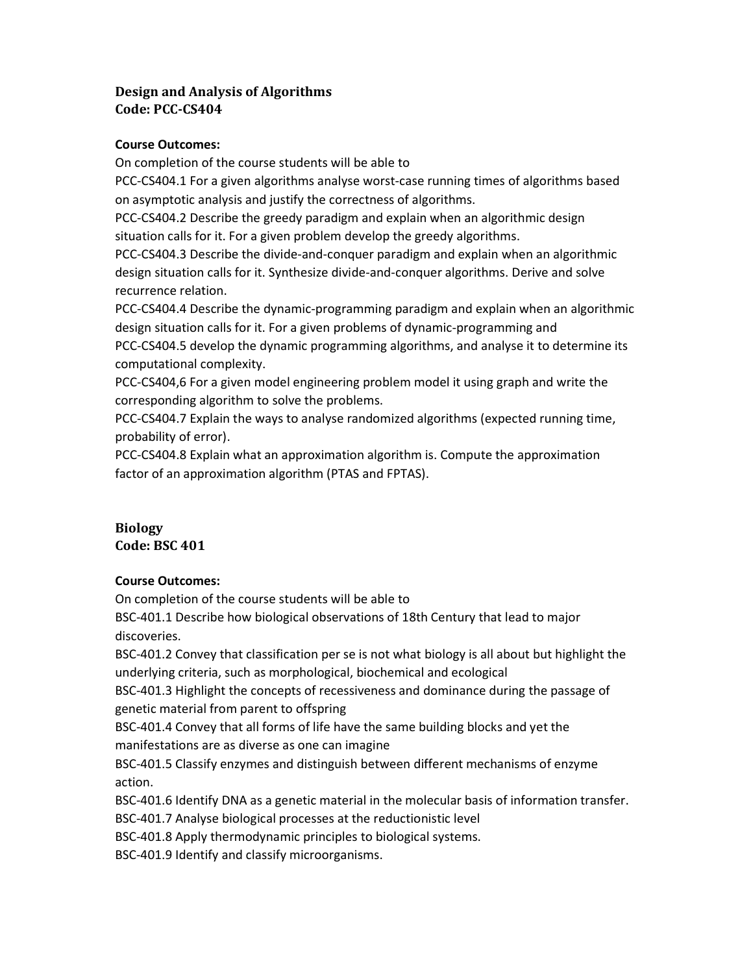# Design and Analysis of Algorithms Code: PCC-CS404

#### Course Outcomes:

On completion of the course students will be able to

PCC-CS404.1 For a given algorithms analyse worst-case running times of algorithms based on asymptotic analysis and justify the correctness of algorithms.

PCC-CS404.2 Describe the greedy paradigm and explain when an algorithmic design situation calls for it. For a given problem develop the greedy algorithms.

PCC-CS404.3 Describe the divide-and-conquer paradigm and explain when an algorithmic design situation calls for it. Synthesize divide-and-conquer algorithms. Derive and solve recurrence relation.

PCC-CS404.4 Describe the dynamic-programming paradigm and explain when an algorithmic design situation calls for it. For a given problems of dynamic-programming and PCC-CS404.5 develop the dynamic programming algorithms, and analyse it to determine its

computational complexity.

PCC-CS404,6 For a given model engineering problem model it using graph and write the corresponding algorithm to solve the problems.

PCC-CS404.7 Explain the ways to analyse randomized algorithms (expected running time, probability of error).

PCC-CS404.8 Explain what an approximation algorithm is. Compute the approximation factor of an approximation algorithm (PTAS and FPTAS).

## Biology Code: BSC 401

## Course Outcomes:

On completion of the course students will be able to BSC-401.1 Describe how biological observations of 18th Century that lead to major discoveries.

BSC-401.2 Convey that classification per se is not what biology is all about but highlight the underlying criteria, such as morphological, biochemical and ecological

BSC-401.3 Highlight the concepts of recessiveness and dominance during the passage of genetic material from parent to offspring

BSC-401.4 Convey that all forms of life have the same building blocks and yet the manifestations are as diverse as one can imagine

BSC-401.5 Classify enzymes and distinguish between different mechanisms of enzyme action.

BSC-401.6 Identify DNA as a genetic material in the molecular basis of information transfer.

BSC-401.7 Analyse biological processes at the reductionistic level

BSC-401.8 Apply thermodynamic principles to biological systems.

BSC-401.9 Identify and classify microorganisms.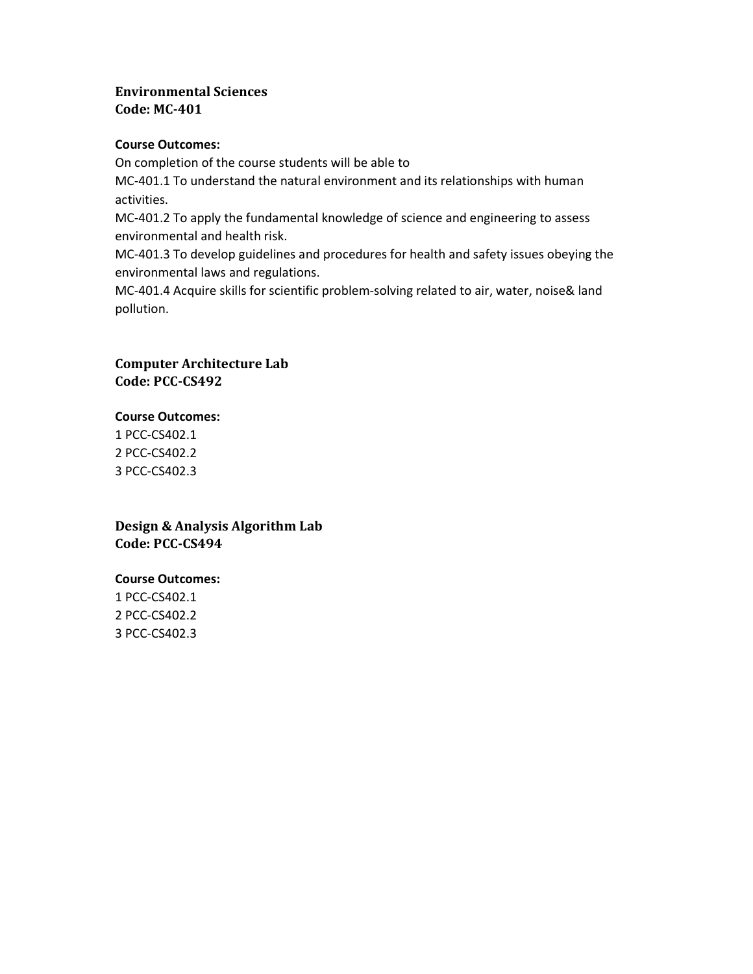# Environmental Sciences Code: MC-401

#### Course Outcomes:

On completion of the course students will be able to

MC-401.1 To understand the natural environment and its relationships with human activities.

MC-401.2 To apply the fundamental knowledge of science and engineering to assess environmental and health risk.

MC-401.3 To develop guidelines and procedures for health and safety issues obeying the environmental laws and regulations.

MC-401.4 Acquire skills for scientific problem-solving related to air, water, noise& land pollution.

# Computer Architecture Lab Code: PCC-CS492

#### Course Outcomes:

1 PCC-CS402.1 2 PCC-CS402.2 3 PCC-CS402.3

Design & Analysis Algorithm Lab Code: PCC-CS494

## Course Outcomes:

1 PCC-CS402.1 2 PCC-CS402.2 3 PCC-CS402.3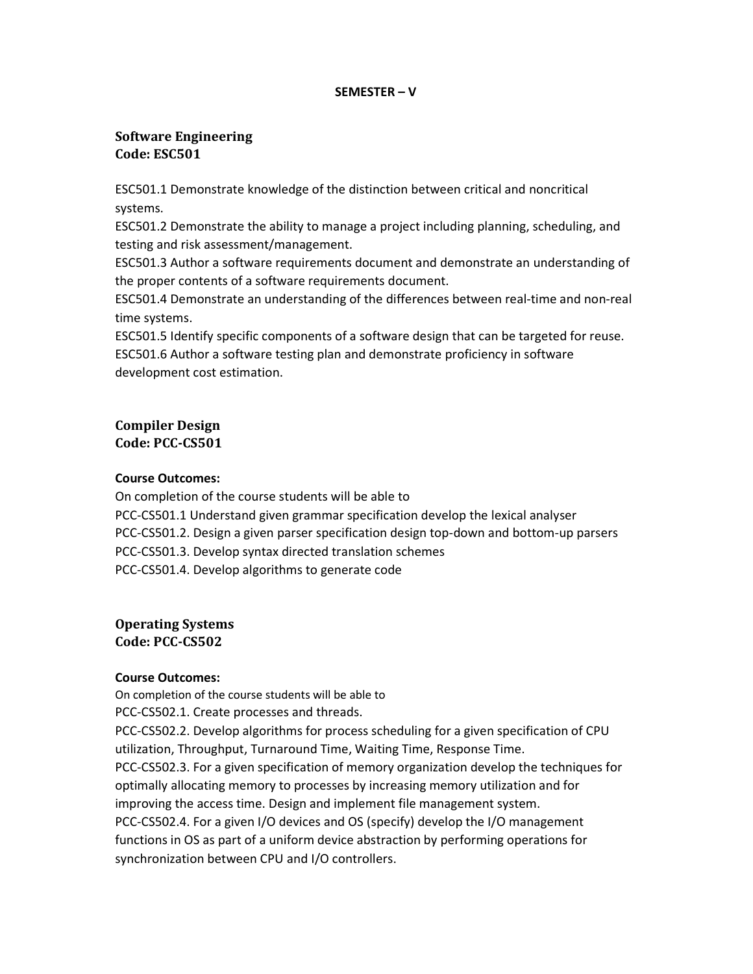#### SEMESTER – V

## Software Engineering Code: ESC501

ESC501.1 Demonstrate knowledge of the distinction between critical and noncritical systems.

ESC501.2 Demonstrate the ability to manage a project including planning, scheduling, and testing and risk assessment/management.

ESC501.3 Author a software requirements document and demonstrate an understanding of the proper contents of a software requirements document.

ESC501.4 Demonstrate an understanding of the differences between real-time and non-real time systems.

ESC501.5 Identify specific components of a software design that can be targeted for reuse. ESC501.6 Author a software testing plan and demonstrate proficiency in software development cost estimation.

#### Compiler Design Code: PCC-CS501

## Course Outcomes:

On completion of the course students will be able to PCC-CS501.1 Understand given grammar specification develop the lexical analyser PCC-CS501.2. Design a given parser specification design top-down and bottom-up parsers PCC-CS501.3. Develop syntax directed translation schemes PCC-CS501.4. Develop algorithms to generate code

Operating Systems Code: PCC-CS502

## Course Outcomes:

On completion of the course students will be able to

PCC-CS502.1. Create processes and threads.

PCC-CS502.2. Develop algorithms for process scheduling for a given specification of CPU utilization, Throughput, Turnaround Time, Waiting Time, Response Time. PCC-CS502.3. For a given specification of memory organization develop the techniques for optimally allocating memory to processes by increasing memory utilization and for improving the access time. Design and implement file management system. PCC-CS502.4. For a given I/O devices and OS (specify) develop the I/O management functions in OS as part of a uniform device abstraction by performing operations for synchronization between CPU and I/O controllers.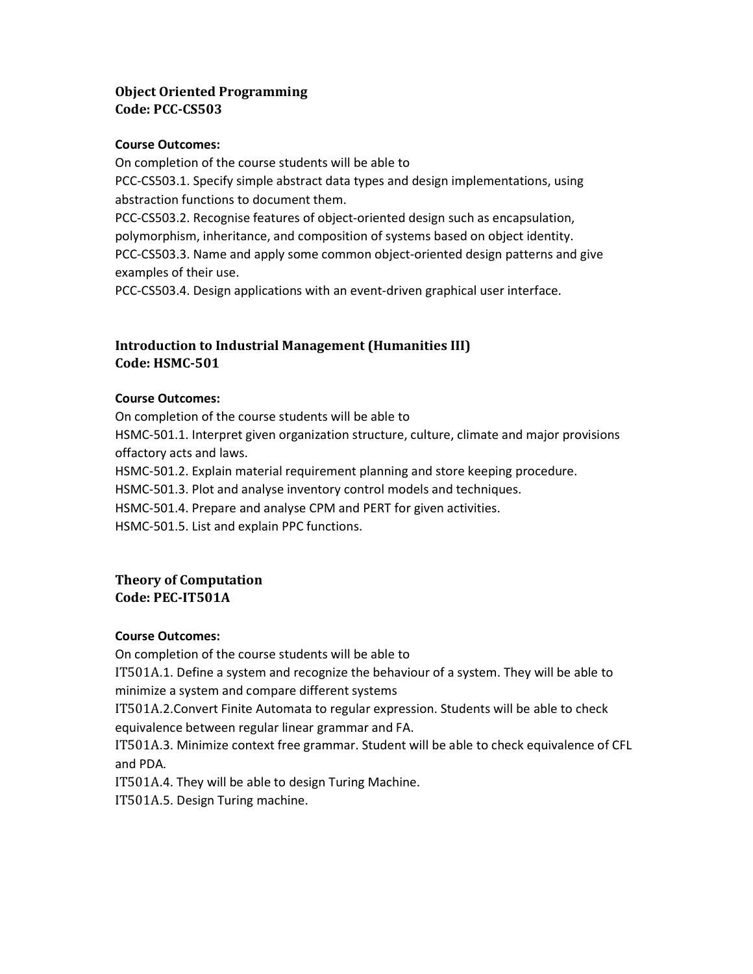# Object Oriented Programming Code: PCC-CS503

#### Course Outcomes:

On completion of the course students will be able to PCC-CS503.1. Specify simple abstract data types and design implementations, using abstraction functions to document them. PCC-CS503.2. Recognise features of object-oriented design such as encapsulation, polymorphism, inheritance, and composition of systems based on object identity. PCC-CS503.3. Name and apply some common object-oriented design patterns and give examples of their use. PCC-CS503.4. Design applications with an event-driven graphical user interface.

# Introduction to Industrial Management (Humanities III) Code: HSMC-501

## Course Outcomes:

On completion of the course students will be able to HSMC-501.1. Interpret given organization structure, culture, climate and major provisions offactory acts and laws.

HSMC-501.2. Explain material requirement planning and store keeping procedure.

HSMC-501.3. Plot and analyse inventory control models and techniques.

HSMC-501.4. Prepare and analyse CPM and PERT for given activities.

HSMC-501.5. List and explain PPC functions.

#### Theory of Computation Code: PEC-IT501A

#### Course Outcomes:

On completion of the course students will be able to

IT501A.1. Define a system and recognize the behaviour of a system. They will be able to minimize a system and compare different systems

IT501A.2.Convert Finite Automata to regular expression. Students will be able to check equivalence between regular linear grammar and FA.

IT501A.3. Minimize context free grammar. Student will be able to check equivalence of CFL and PDA.

IT501A.4. They will be able to design Turing Machine.

IT501A.5. Design Turing machine.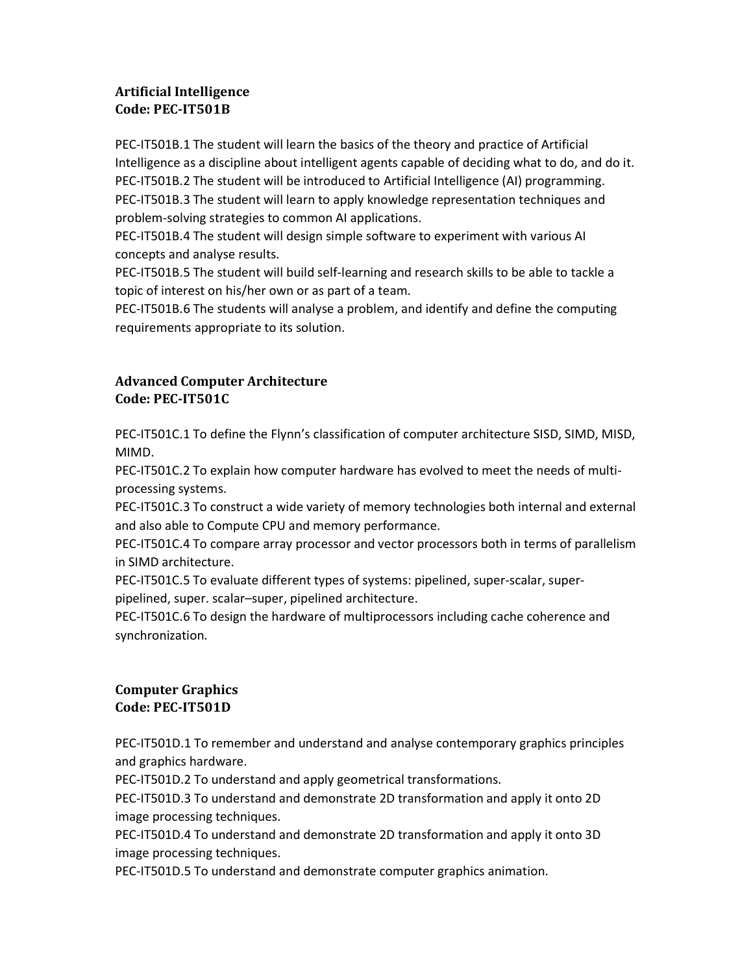# Artificial Intelligence Code: PEC-IT501B

PEC-IT501B.1 The student will learn the basics of the theory and practice of Artificial Intelligence as a discipline about intelligent agents capable of deciding what to do, and do it. PEC-IT501B.2 The student will be introduced to Artificial Intelligence (AI) programming. PEC-IT501B.3 The student will learn to apply knowledge representation techniques and problem-solving strategies to common AI applications.

PEC-IT501B.4 The student will design simple software to experiment with various AI concepts and analyse results.

PEC-IT501B.5 The student will build self-learning and research skills to be able to tackle a topic of interest on his/her own or as part of a team.

PEC-IT501B.6 The students will analyse a problem, and identify and define the computing requirements appropriate to its solution.

# Advanced Computer Architecture Code: PEC-IT501C

PEC-IT501C.1 To define the Flynn's classification of computer architecture SISD, SIMD, MISD, MIMD.

PEC-IT501C.2 To explain how computer hardware has evolved to meet the needs of multiprocessing systems.

PEC-IT501C.3 To construct a wide variety of memory technologies both internal and external and also able to Compute CPU and memory performance.

PEC-IT501C.4 To compare array processor and vector processors both in terms of parallelism in SIMD architecture.

PEC-IT501C.5 To evaluate different types of systems: pipelined, super-scalar, superpipelined, super. scalar–super, pipelined architecture.

PEC-IT501C.6 To design the hardware of multiprocessors including cache coherence and synchronization.

# Computer Graphics Code: PEC-IT501D

PEC-IT501D.1 To remember and understand and analyse contemporary graphics principles and graphics hardware.

PEC-IT501D.2 To understand and apply geometrical transformations.

PEC-IT501D.3 To understand and demonstrate 2D transformation and apply it onto 2D image processing techniques.

PEC-IT501D.4 To understand and demonstrate 2D transformation and apply it onto 3D image processing techniques.

PEC-IT501D.5 To understand and demonstrate computer graphics animation.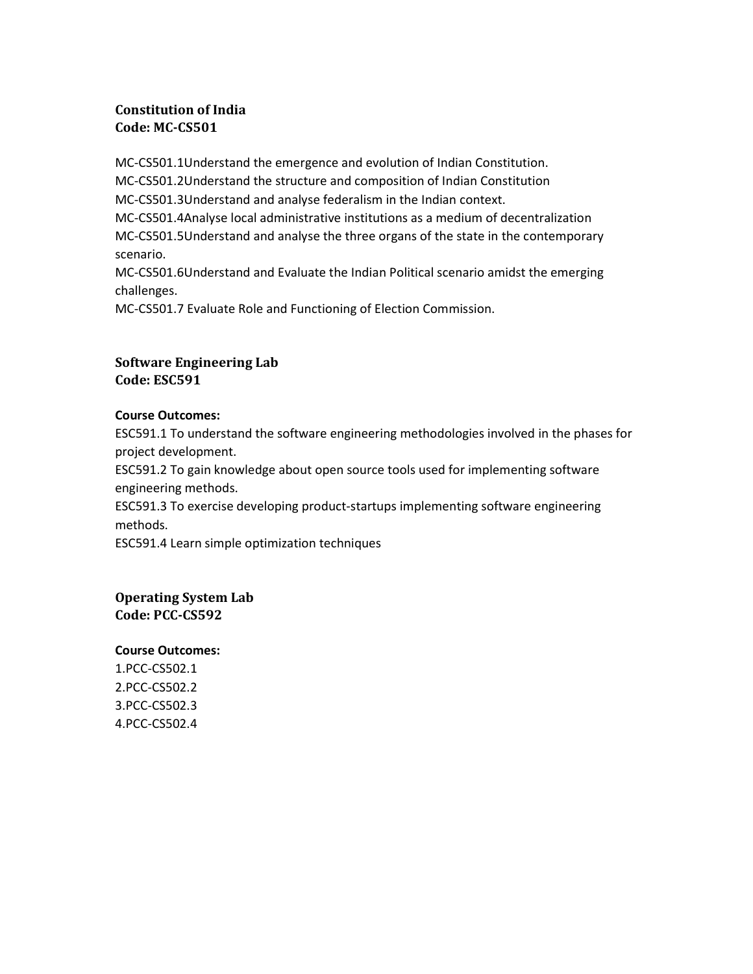# Constitution of India Code: MC-CS501

MC-CS501.1Understand the emergence and evolution of Indian Constitution. MC-CS501.2Understand the structure and composition of Indian Constitution MC-CS501.3Understand and analyse federalism in the Indian context. MC-CS501.4Analyse local administrative institutions as a medium of decentralization MC-CS501.5Understand and analyse the three organs of the state in the contemporary scenario. MC-CS501.6Understand and Evaluate the Indian Political scenario amidst the emerging challenges.

MC-CS501.7 Evaluate Role and Functioning of Election Commission.

## Software Engineering Lab Code: ESC591

#### Course Outcomes:

ESC591.1 To understand the software engineering methodologies involved in the phases for project development.

ESC591.2 To gain knowledge about open source tools used for implementing software engineering methods.

ESC591.3 To exercise developing product-startups implementing software engineering methods.

ESC591.4 Learn simple optimization techniques

Operating System Lab Code: PCC-CS592

## Course Outcomes:

1.PCC-CS502.1 2.PCC-CS502.2 3.PCC-CS502.3 4.PCC-CS502.4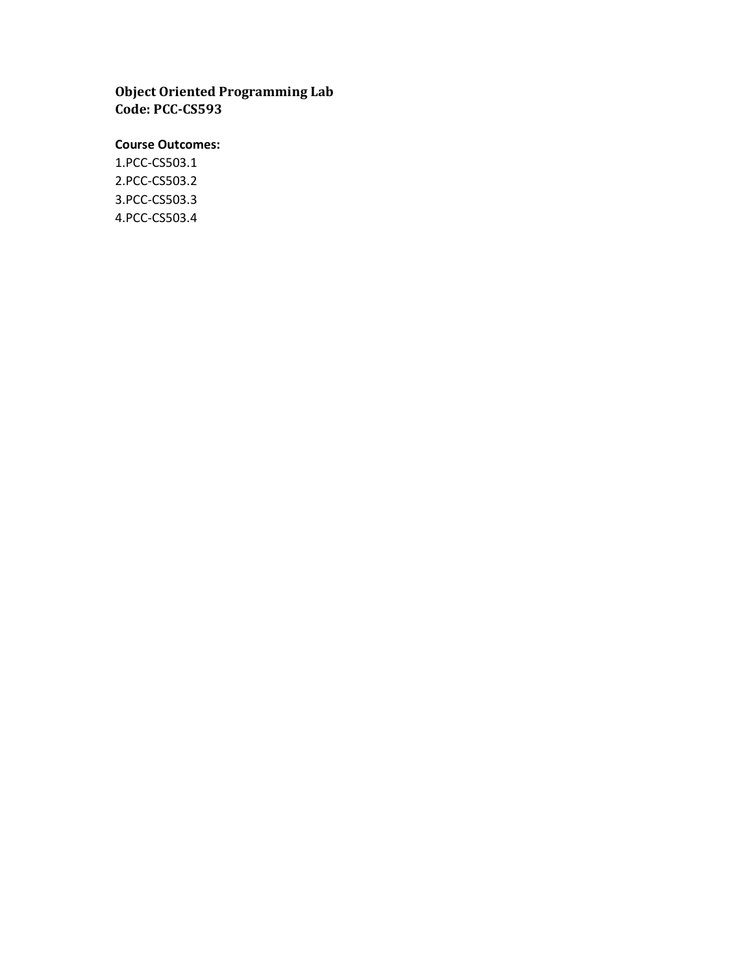Object Oriented Programming Lab Code: PCC-CS593

## Course Outcomes:

1.PCC-CS503.1 2.PCC-CS503.2 3.PCC-CS503.3 4.PCC-CS503.4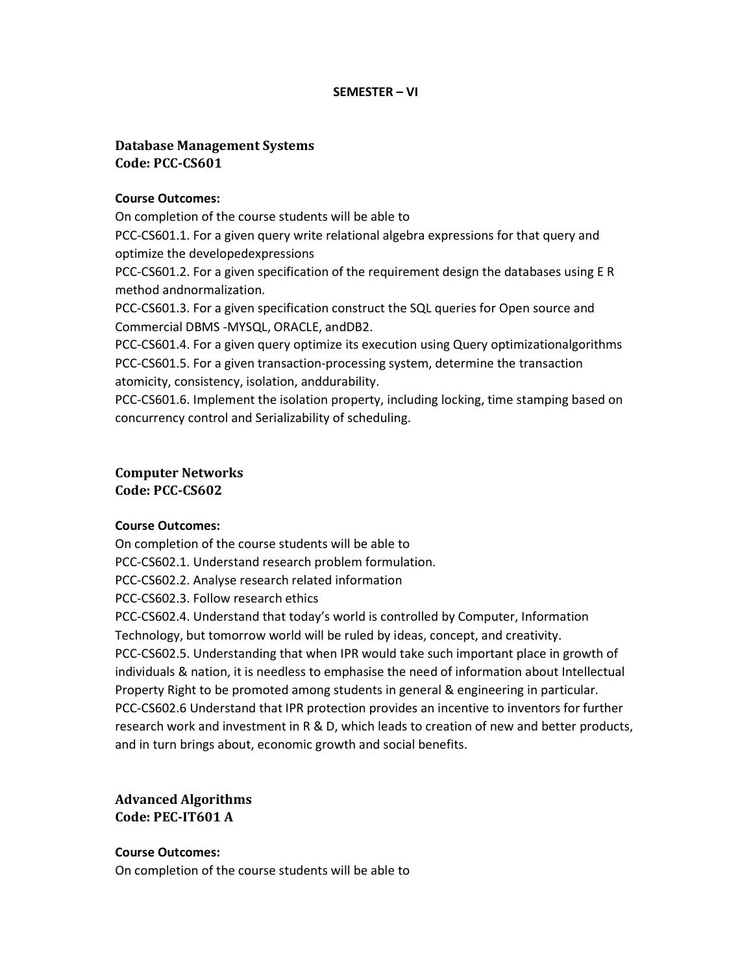#### SEMESTER – VI

## Database Management Systems Code: PCC-CS601

#### Course Outcomes:

On completion of the course students will be able to

PCC-CS601.1. For a given query write relational algebra expressions for that query and optimize the developedexpressions

PCC-CS601.2. For a given specification of the requirement design the databases using E R method andnormalization.

PCC-CS601.3. For a given specification construct the SQL queries for Open source and Commercial DBMS -MYSQL, ORACLE, andDB2.

PCC-CS601.4. For a given query optimize its execution using Query optimizationalgorithms PCC-CS601.5. For a given transaction-processing system, determine the transaction atomicity, consistency, isolation, anddurability.

PCC-CS601.6. Implement the isolation property, including locking, time stamping based on concurrency control and Serializability of scheduling.

#### Computer Networks Code: PCC-CS602

#### Course Outcomes:

On completion of the course students will be able to PCC-CS602.1. Understand research problem formulation. PCC-CS602.2. Analyse research related information PCC-CS602.3. Follow research ethics PCC-CS602.4. Understand that today's world is controlled by Computer, Information Technology, but tomorrow world will be ruled by ideas, concept, and creativity. PCC-CS602.5. Understanding that when IPR would take such important place in growth of individuals & nation, it is needless to emphasise the need of information about Intellectual Property Right to be promoted among students in general & engineering in particular.

PCC-CS602.6 Understand that IPR protection provides an incentive to inventors for further research work and investment in R & D, which leads to creation of new and better products, and in turn brings about, economic growth and social benefits.

Advanced Algorithms Code: PEC-IT601 A

Course Outcomes:

On completion of the course students will be able to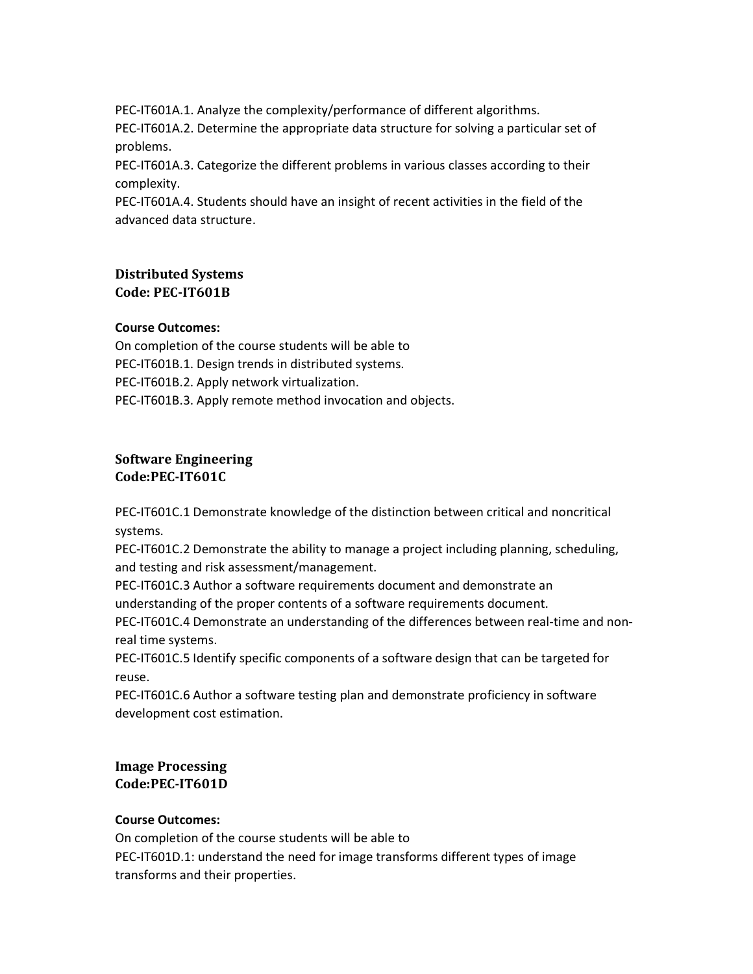PEC-IT601A.1. Analyze the complexity/performance of different algorithms.

PEC-IT601A.2. Determine the appropriate data structure for solving a particular set of problems.

PEC-IT601A.3. Categorize the different problems in various classes according to their complexity.

PEC-IT601A.4. Students should have an insight of recent activities in the field of the advanced data structure.

# Distributed Systems Code: PEC-IT601B

## Course Outcomes:

On completion of the course students will be able to PEC-IT601B.1. Design trends in distributed systems. PEC-IT601B.2. Apply network virtualization. PEC-IT601B.3. Apply remote method invocation and objects.

## Software Engineering Code:PEC-IT601C

PEC-IT601C.1 Demonstrate knowledge of the distinction between critical and noncritical systems.

PEC-IT601C.2 Demonstrate the ability to manage a project including planning, scheduling, and testing and risk assessment/management.

PEC-IT601C.3 Author a software requirements document and demonstrate an understanding of the proper contents of a software requirements document.

PEC-IT601C.4 Demonstrate an understanding of the differences between real-time and nonreal time systems.

PEC-IT601C.5 Identify specific components of a software design that can be targeted for reuse.

PEC-IT601C.6 Author a software testing plan and demonstrate proficiency in software development cost estimation.

## Image Processing Code:PEC-IT601D

## Course Outcomes:

On completion of the course students will be able to PEC-IT601D.1: understand the need for image transforms different types of image transforms and their properties.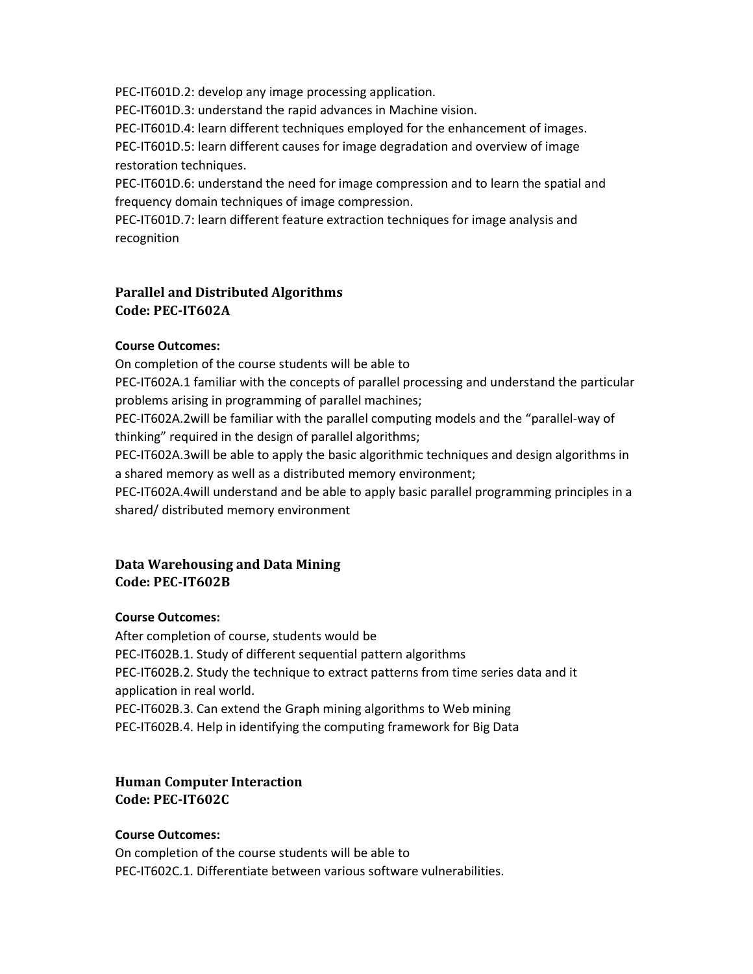PEC-IT601D.2: develop any image processing application.

PEC-IT601D.3: understand the rapid advances in Machine vision.

PEC-IT601D.4: learn different techniques employed for the enhancement of images.

PEC-IT601D.5: learn different causes for image degradation and overview of image restoration techniques.

PEC-IT601D.6: understand the need for image compression and to learn the spatial and frequency domain techniques of image compression.

PEC-IT601D.7: learn different feature extraction techniques for image analysis and recognition

# Parallel and Distributed Algorithms Code: PEC-IT602A

## Course Outcomes:

On completion of the course students will be able to

PEC-IT602A.1 familiar with the concepts of parallel processing and understand the particular problems arising in programming of parallel machines;

PEC-IT602A.2will be familiar with the parallel computing models and the "parallel-way of thinking" required in the design of parallel algorithms;

PEC-IT602A.3will be able to apply the basic algorithmic techniques and design algorithms in a shared memory as well as a distributed memory environment;

PEC-IT602A.4will understand and be able to apply basic parallel programming principles in a shared/ distributed memory environment

# Data Warehousing and Data Mining Code: PEC-IT602B

## Course Outcomes:

After completion of course, students would be PEC-IT602B.1. Study of different sequential pattern algorithms PEC-IT602B.2. Study the technique to extract patterns from time series data and it application in real world. PEC-IT602B.3. Can extend the Graph mining algorithms to Web mining

PEC-IT602B.4. Help in identifying the computing framework for Big Data

## Human Computer Interaction Code: PEC-IT602C

## Course Outcomes:

On completion of the course students will be able to PEC-IT602C.1. Differentiate between various software vulnerabilities.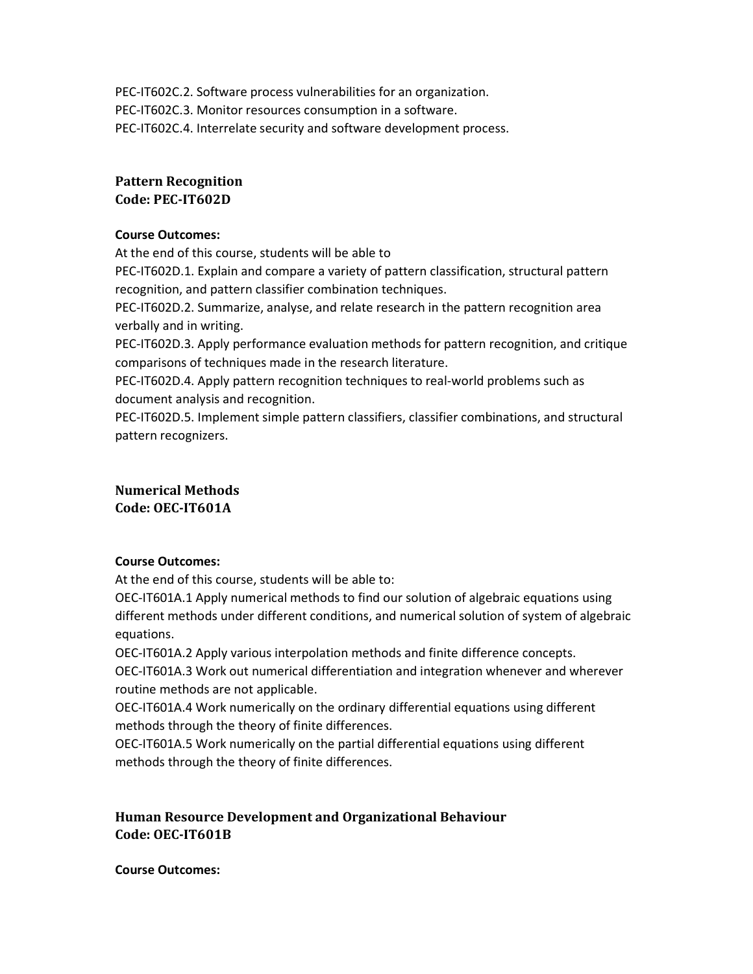PEC-IT602C.2. Software process vulnerabilities for an organization. PEC-IT602C.3. Monitor resources consumption in a software. PEC-IT602C.4. Interrelate security and software development process.

## Pattern Recognition Code: PEC-IT602D

#### Course Outcomes:

At the end of this course, students will be able to PEC-IT602D.1. Explain and compare a variety of pattern classification, structural pattern recognition, and pattern classifier combination techniques.

PEC-IT602D.2. Summarize, analyse, and relate research in the pattern recognition area verbally and in writing.

PEC-IT602D.3. Apply performance evaluation methods for pattern recognition, and critique comparisons of techniques made in the research literature.

PEC-IT602D.4. Apply pattern recognition techniques to real-world problems such as document analysis and recognition.

PEC-IT602D.5. Implement simple pattern classifiers, classifier combinations, and structural pattern recognizers.

## Numerical Methods Code: OEC-IT601A

## Course Outcomes:

At the end of this course, students will be able to:

OEC-IT601A.1 Apply numerical methods to find our solution of algebraic equations using different methods under different conditions, and numerical solution of system of algebraic equations.

OEC-IT601A.2 Apply various interpolation methods and finite difference concepts.

OEC-IT601A.3 Work out numerical differentiation and integration whenever and wherever routine methods are not applicable.

OEC-IT601A.4 Work numerically on the ordinary differential equations using different methods through the theory of finite differences.

OEC-IT601A.5 Work numerically on the partial differential equations using different methods through the theory of finite differences.

# Human Resource Development and Organizational Behaviour Code: OEC-IT601B

#### Course Outcomes: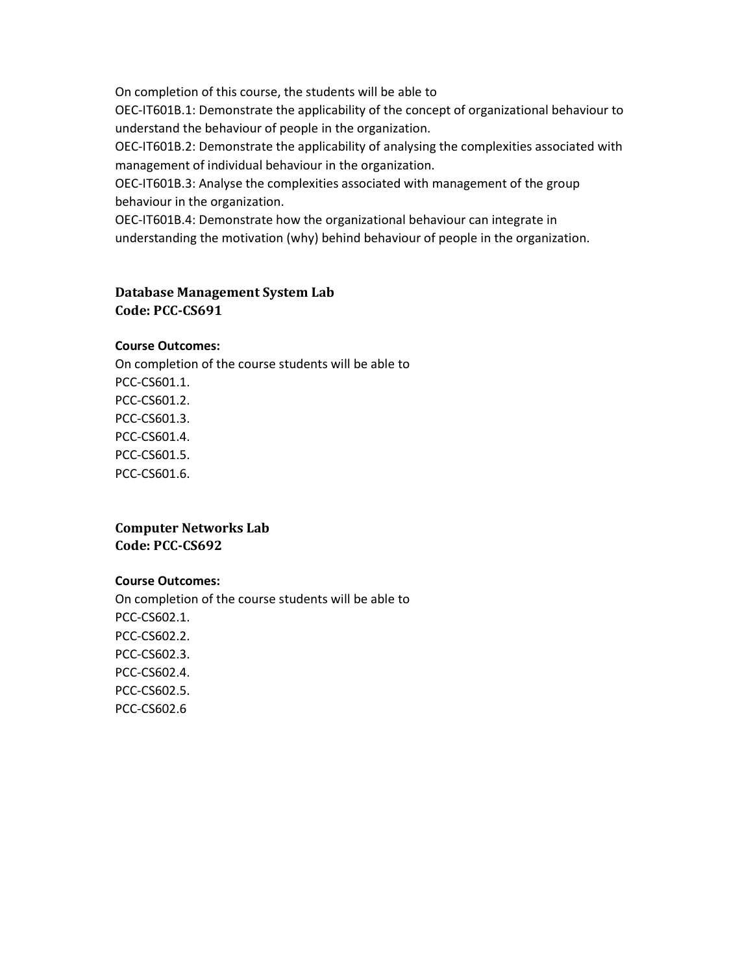On completion of this course, the students will be able to

OEC-IT601B.1: Demonstrate the applicability of the concept of organizational behaviour to understand the behaviour of people in the organization.

OEC-IT601B.2: Demonstrate the applicability of analysing the complexities associated with management of individual behaviour in the organization.

OEC-IT601B.3: Analyse the complexities associated with management of the group behaviour in the organization.

OEC-IT601B.4: Demonstrate how the organizational behaviour can integrate in understanding the motivation (why) behind behaviour of people in the organization.

## Database Management System Lab Code: PCC-CS691

#### Course Outcomes:

On completion of the course students will be able to PCC-CS601.1. PCC-CS601.2. PCC-CS601.3. PCC-CS601.4. PCC-CS601.5. PCC-CS601.6.

## Computer Networks Lab Code: PCC-CS692

#### Course Outcomes:

On completion of the course students will be able to PCC-CS602.1. PCC-CS602.2. PCC-CS602.3. PCC-CS602.4. PCC-CS602.5. PCC-CS602.6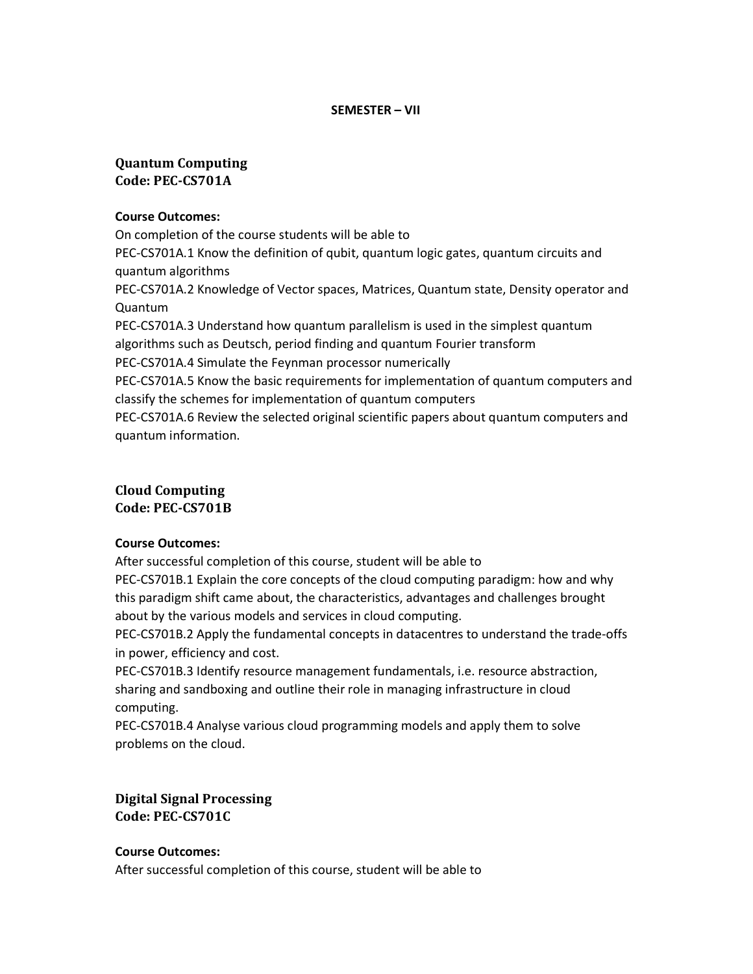#### SEMESTER – VII

# Quantum Computing Code: PEC-CS701A

#### Course Outcomes:

On completion of the course students will be able to PEC-CS701A.1 Know the definition of qubit, quantum logic gates, quantum circuits and quantum algorithms PEC-CS701A.2 Knowledge of Vector spaces, Matrices, Quantum state, Density operator and Quantum PEC-CS701A.3 Understand how quantum parallelism is used in the simplest quantum algorithms such as Deutsch, period finding and quantum Fourier transform PEC-CS701A.4 Simulate the Feynman processor numerically PEC-CS701A.5 Know the basic requirements for implementation of quantum computers and classify the schemes for implementation of quantum computers PEC-CS701A.6 Review the selected original scientific papers about quantum computers and quantum information.

## Cloud Computing Code: PEC-CS701B

#### Course Outcomes:

After successful completion of this course, student will be able to

PEC-CS701B.1 Explain the core concepts of the cloud computing paradigm: how and why this paradigm shift came about, the characteristics, advantages and challenges brought about by the various models and services in cloud computing.

PEC-CS701B.2 Apply the fundamental concepts in datacentres to understand the trade-offs in power, efficiency and cost.

PEC-CS701B.3 Identify resource management fundamentals, i.e. resource abstraction, sharing and sandboxing and outline their role in managing infrastructure in cloud computing.

PEC-CS701B.4 Analyse various cloud programming models and apply them to solve problems on the cloud.

Digital Signal Processing Code: PEC-CS701C

# Course Outcomes:

After successful completion of this course, student will be able to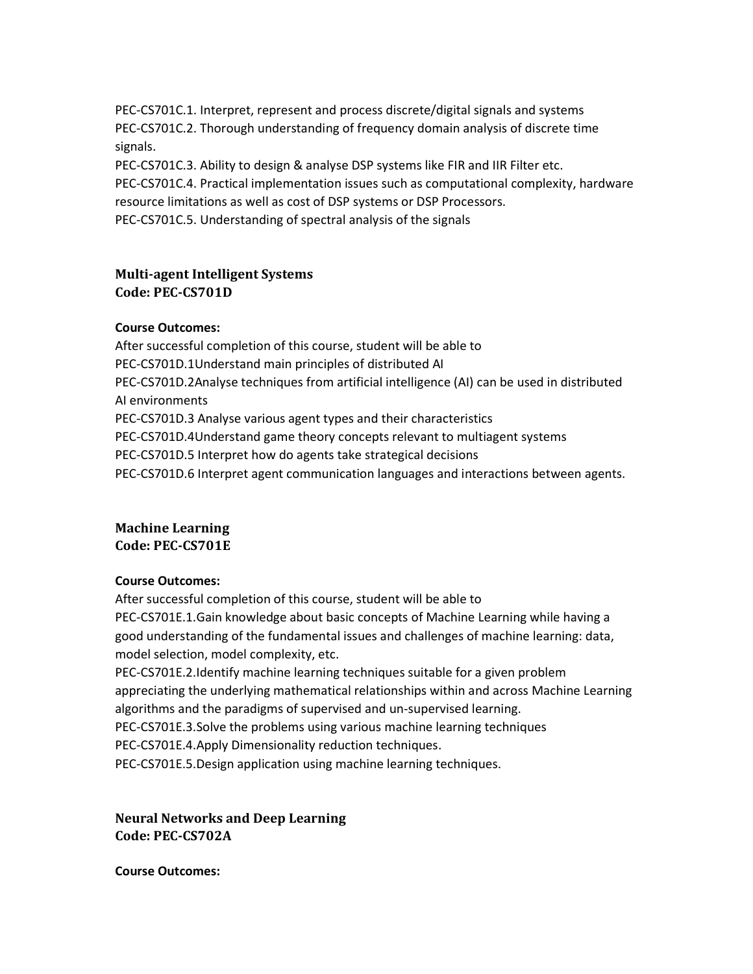PEC-CS701C.1. Interpret, represent and process discrete/digital signals and systems PEC-CS701C.2. Thorough understanding of frequency domain analysis of discrete time signals.

PEC-CS701C.3. Ability to design & analyse DSP systems like FIR and IIR Filter etc. PEC-CS701C.4. Practical implementation issues such as computational complexity, hardware resource limitations as well as cost of DSP systems or DSP Processors. PEC-CS701C.5. Understanding of spectral analysis of the signals

# Multi-agent Intelligent Systems Code: PEC-CS701D

## Course Outcomes:

After successful completion of this course, student will be able to PEC-CS701D.1Understand main principles of distributed AI PEC-CS701D.2Analyse techniques from artificial intelligence (AI) can be used in distributed AI environments PEC-CS701D.3 Analyse various agent types and their characteristics PEC-CS701D.4Understand game theory concepts relevant to multiagent systems PEC-CS701D.5 Interpret how do agents take strategical decisions PEC-CS701D.6 Interpret agent communication languages and interactions between agents.

## Machine Learning Code: PEC-CS701E

#### Course Outcomes:

After successful completion of this course, student will be able to PEC-CS701E.1.Gain knowledge about basic concepts of Machine Learning while having a good understanding of the fundamental issues and challenges of machine learning: data, model selection, model complexity, etc.

PEC-CS701E.2.Identify machine learning techniques suitable for a given problem appreciating the underlying mathematical relationships within and across Machine Learning algorithms and the paradigms of supervised and un-supervised learning.

PEC-CS701E.3.Solve the problems using various machine learning techniques

PEC-CS701E.4.Apply Dimensionality reduction techniques.

PEC-CS701E.5.Design application using machine learning techniques.

Neural Networks and Deep Learning Code: PEC-CS702A

Course Outcomes: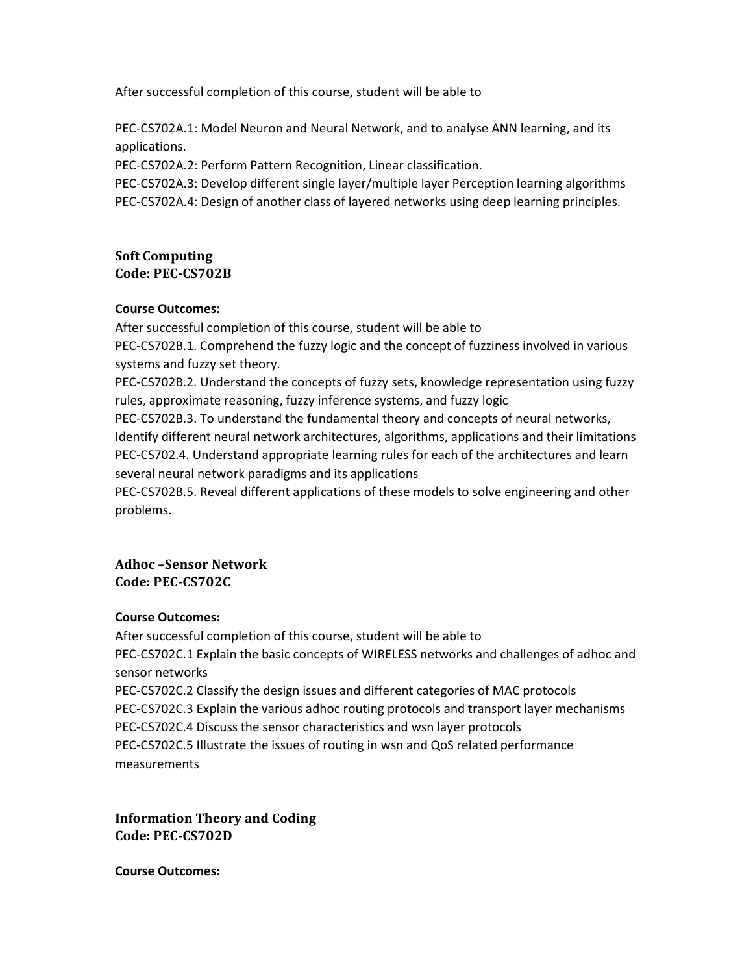After successful completion of this course, student will be able to

PEC-CS702A.1: Model Neuron and Neural Network, and to analyse ANN learning, and its applications.

PEC-CS702A.2: Perform Pattern Recognition, Linear classification.

PEC-CS702A.3: Develop different single layer/multiple layer Perception learning algorithms PEC-CS702A.4: Design of another class of layered networks using deep learning principles.

# Soft Computing

Code: PEC-CS702B

## Course Outcomes:

After successful completion of this course, student will be able to PEC-CS702B.1. Comprehend the fuzzy logic and the concept of fuzziness involved in various systems and fuzzy set theory.

PEC-CS702B.2. Understand the concepts of fuzzy sets, knowledge representation using fuzzy rules, approximate reasoning, fuzzy inference systems, and fuzzy logic

PEC-CS702B.3. To understand the fundamental theory and concepts of neural networks, Identify different neural network architectures, algorithms, applications and their limitations PEC-CS702.4. Understand appropriate learning rules for each of the architectures and learn several neural network paradigms and its applications

PEC-CS702B.5. Reveal different applications of these models to solve engineering and other problems.

## Adhoc –Sensor Network Code: PEC-CS702C

# Course Outcomes:

After successful completion of this course, student will be able to PEC-CS702C.1 Explain the basic concepts of WIRELESS networks and challenges of adhoc and sensor networks PEC-CS702C.2 Classify the design issues and different categories of MAC protocols PEC-CS702C.3 Explain the various adhoc routing protocols and transport layer mechanisms PEC-CS702C.4 Discuss the sensor characteristics and wsn layer protocols PEC-CS702C.5 Illustrate the issues of routing in wsn and QoS related performance measurements

Information Theory and Coding Code: PEC-CS702D

Course Outcomes: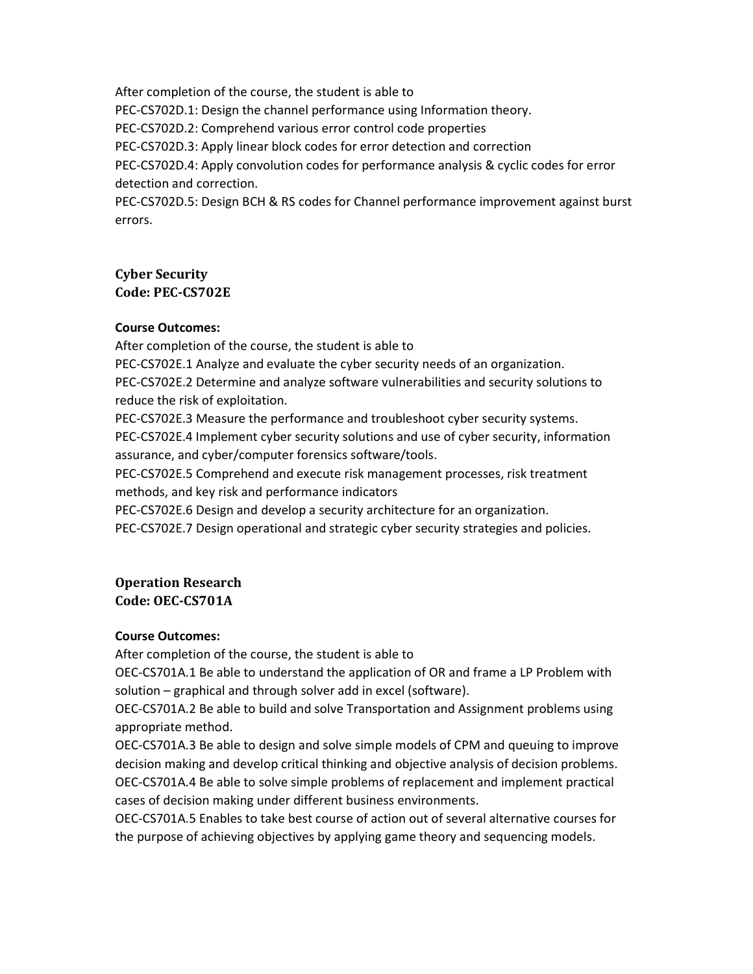After completion of the course, the student is able to PEC-CS702D.1: Design the channel performance using Information theory. PEC-CS702D.2: Comprehend various error control code properties PEC-CS702D.3: Apply linear block codes for error detection and correction PEC-CS702D.4: Apply convolution codes for performance analysis & cyclic codes for error detection and correction. PEC-CS702D.5: Design BCH & RS codes for Channel performance improvement against burst

errors.

# Cyber Security Code: PEC-CS702E

#### Course Outcomes:

After completion of the course, the student is able to

PEC-CS702E.1 Analyze and evaluate the cyber security needs of an organization.

PEC-CS702E.2 Determine and analyze software vulnerabilities and security solutions to reduce the risk of exploitation.

PEC-CS702E.3 Measure the performance and troubleshoot cyber security systems.

PEC-CS702E.4 Implement cyber security solutions and use of cyber security, information assurance, and cyber/computer forensics software/tools.

PEC-CS702E.5 Comprehend and execute risk management processes, risk treatment methods, and key risk and performance indicators

PEC-CS702E.6 Design and develop a security architecture for an organization.

PEC-CS702E.7 Design operational and strategic cyber security strategies and policies.

## Operation Research Code: OEC-CS701A

## Course Outcomes:

After completion of the course, the student is able to

OEC-CS701A.1 Be able to understand the application of OR and frame a LP Problem with solution – graphical and through solver add in excel (software).

OEC-CS701A.2 Be able to build and solve Transportation and Assignment problems using appropriate method.

OEC-CS701A.3 Be able to design and solve simple models of CPM and queuing to improve decision making and develop critical thinking and objective analysis of decision problems. OEC-CS701A.4 Be able to solve simple problems of replacement and implement practical cases of decision making under different business environments.

OEC-CS701A.5 Enables to take best course of action out of several alternative courses for the purpose of achieving objectives by applying game theory and sequencing models.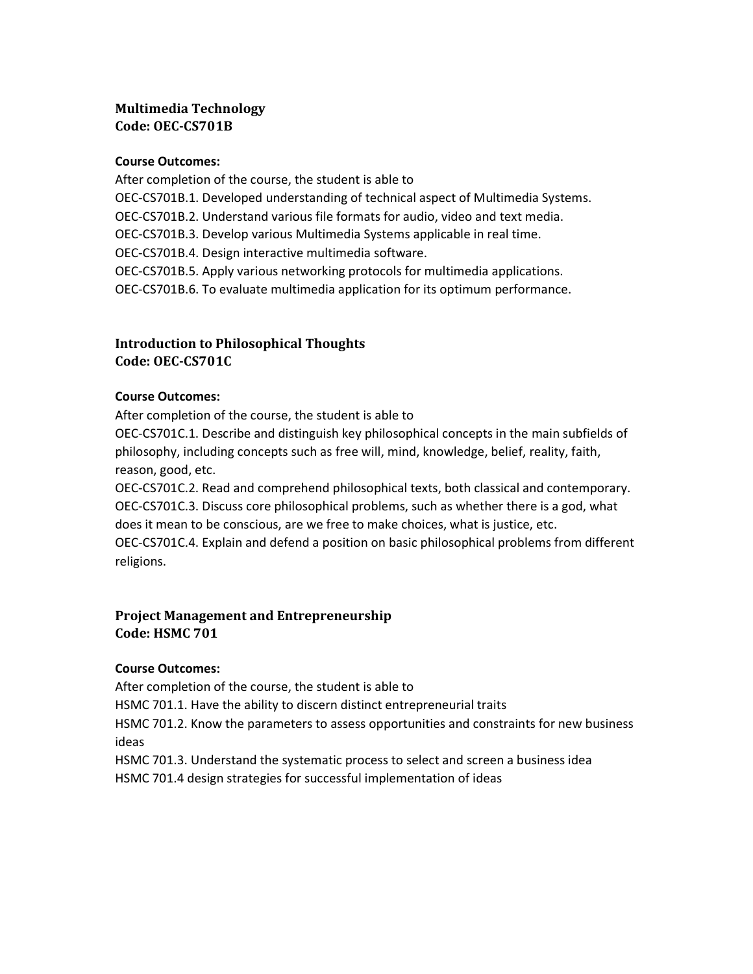# Multimedia Technology Code: OEC-CS701B

#### Course Outcomes:

After completion of the course, the student is able to OEC-CS701B.1. Developed understanding of technical aspect of Multimedia Systems. OEC-CS701B.2. Understand various file formats for audio, video and text media. OEC-CS701B.3. Develop various Multimedia Systems applicable in real time. OEC-CS701B.4. Design interactive multimedia software. OEC-CS701B.5. Apply various networking protocols for multimedia applications. OEC-CS701B.6. To evaluate multimedia application for its optimum performance.

# Introduction to Philosophical Thoughts Code: OEC-CS701C

#### Course Outcomes:

After completion of the course, the student is able to

OEC-CS701C.1. Describe and distinguish key philosophical concepts in the main subfields of philosophy, including concepts such as free will, mind, knowledge, belief, reality, faith, reason, good, etc.

OEC-CS701C.2. Read and comprehend philosophical texts, both classical and contemporary. OEC-CS701C.3. Discuss core philosophical problems, such as whether there is a god, what does it mean to be conscious, are we free to make choices, what is justice, etc. OEC-CS701C.4. Explain and defend a position on basic philosophical problems from different religions.

# Project Management and Entrepreneurship Code: HSMC 701

## Course Outcomes:

After completion of the course, the student is able to HSMC 701.1. Have the ability to discern distinct entrepreneurial traits HSMC 701.2. Know the parameters to assess opportunities and constraints for new business ideas

HSMC 701.3. Understand the systematic process to select and screen a business idea HSMC 701.4 design strategies for successful implementation of ideas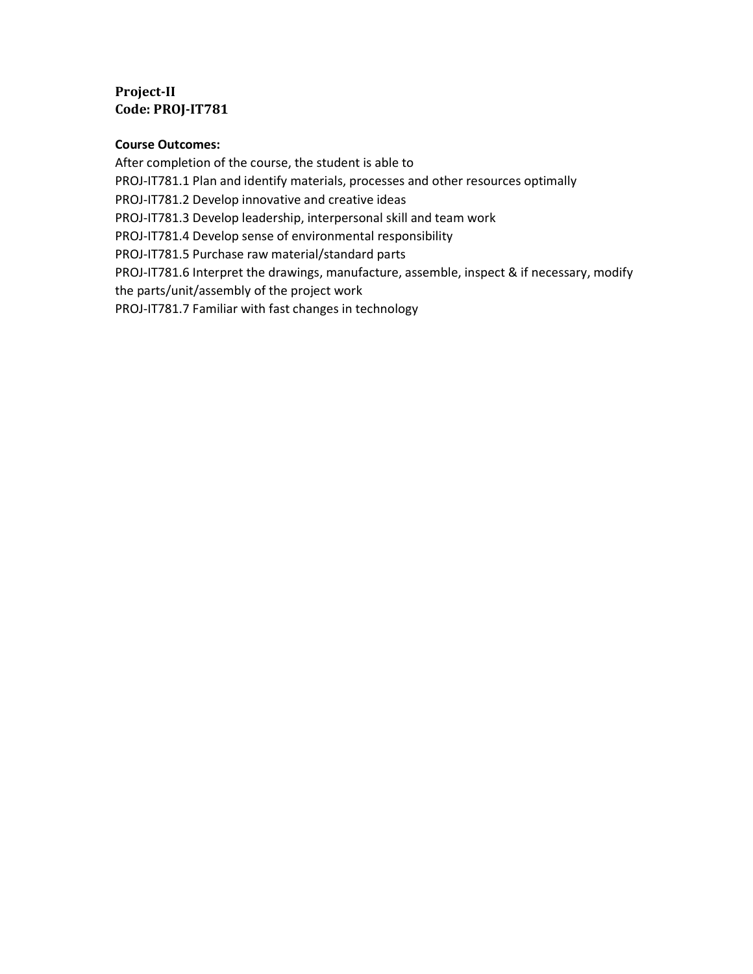# Project-II Code: PROJ-IT781

#### Course Outcomes:

After completion of the course, the student is able to PROJ-IT781.1 Plan and identify materials, processes and other resources optimally PROJ-IT781.2 Develop innovative and creative ideas PROJ-IT781.3 Develop leadership, interpersonal skill and team work PROJ-IT781.4 Develop sense of environmental responsibility PROJ-IT781.5 Purchase raw material/standard parts PROJ-IT781.6 Interpret the drawings, manufacture, assemble, inspect & if necessary, modify the parts/unit/assembly of the project work PROJ-IT781.7 Familiar with fast changes in technology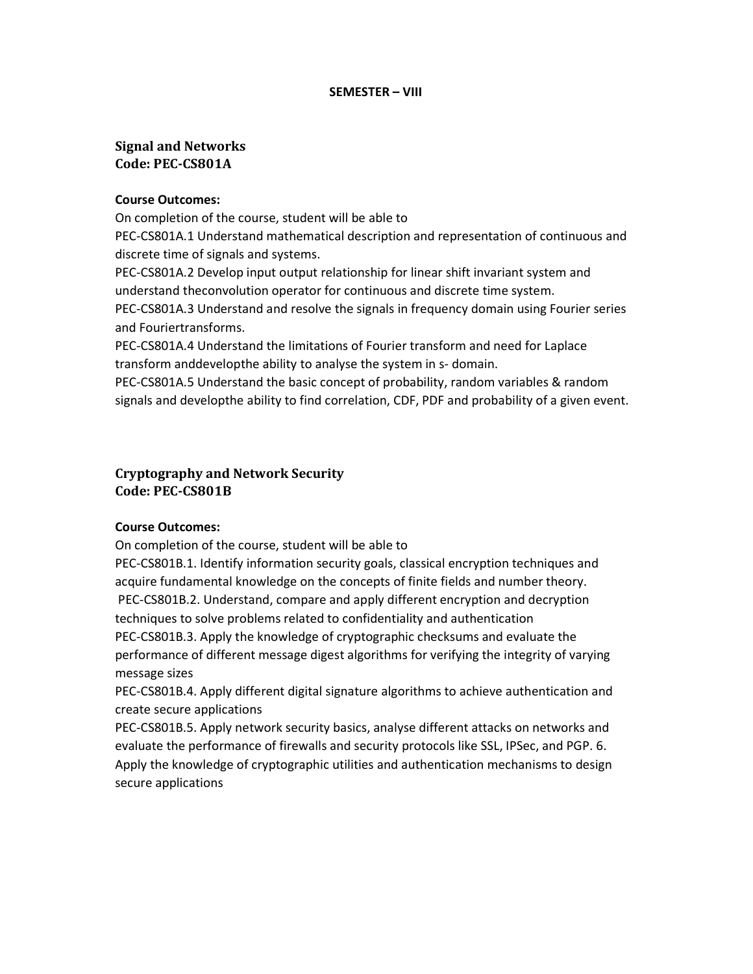#### SEMESTER – VIII

## Signal and Networks Code: PEC-CS801A

#### Course Outcomes:

On completion of the course, student will be able to

PEC-CS801A.1 Understand mathematical description and representation of continuous and discrete time of signals and systems.

PEC-CS801A.2 Develop input output relationship for linear shift invariant system and understand theconvolution operator for continuous and discrete time system.

PEC-CS801A.3 Understand and resolve the signals in frequency domain using Fourier series and Fouriertransforms.

PEC-CS801A.4 Understand the limitations of Fourier transform and need for Laplace transform anddevelopthe ability to analyse the system in s- domain.

PEC-CS801A.5 Understand the basic concept of probability, random variables & random signals and developthe ability to find correlation, CDF, PDF and probability of a given event.

## Cryptography and Network Security Code: PEC-CS801B

## Course Outcomes:

On completion of the course, student will be able to

PEC-CS801B.1. Identify information security goals, classical encryption techniques and acquire fundamental knowledge on the concepts of finite fields and number theory. PEC-CS801B.2. Understand, compare and apply different encryption and decryption techniques to solve problems related to confidentiality and authentication PEC-CS801B.3. Apply the knowledge of cryptographic checksums and evaluate the performance of different message digest algorithms for verifying the integrity of varying message sizes

PEC-CS801B.4. Apply different digital signature algorithms to achieve authentication and create secure applications

PEC-CS801B.5. Apply network security basics, analyse different attacks on networks and evaluate the performance of firewalls and security protocols like SSL, IPSec, and PGP. 6. Apply the knowledge of cryptographic utilities and authentication mechanisms to design secure applications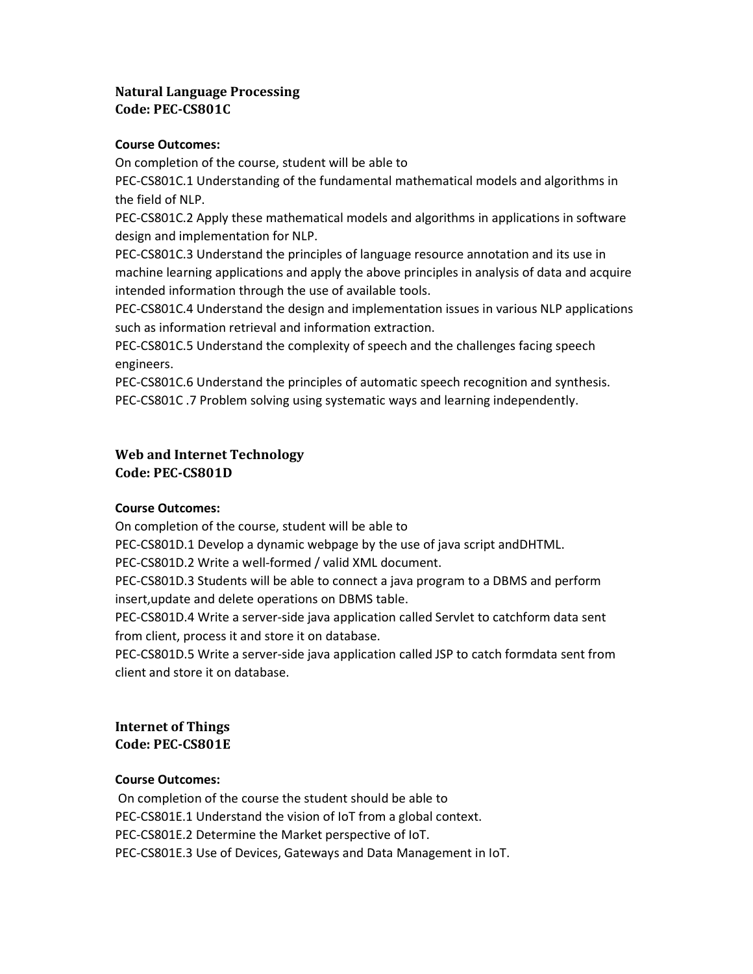# Natural Language Processing Code: PEC-CS801C

#### Course Outcomes:

On completion of the course, student will be able to

PEC-CS801C.1 Understanding of the fundamental mathematical models and algorithms in the field of NLP.

PEC-CS801C.2 Apply these mathematical models and algorithms in applications in software design and implementation for NLP.

PEC-CS801C.3 Understand the principles of language resource annotation and its use in machine learning applications and apply the above principles in analysis of data and acquire intended information through the use of available tools.

PEC-CS801C.4 Understand the design and implementation issues in various NLP applications such as information retrieval and information extraction.

PEC-CS801C.5 Understand the complexity of speech and the challenges facing speech engineers.

PEC-CS801C.6 Understand the principles of automatic speech recognition and synthesis. PEC-CS801C .7 Problem solving using systematic ways and learning independently.

## Web and Internet Technology Code: PEC-CS801D

## Course Outcomes:

On completion of the course, student will be able to

PEC-CS801D.1 Develop a dynamic webpage by the use of java script andDHTML.

PEC-CS801D.2 Write a well-formed / valid XML document.

PEC-CS801D.3 Students will be able to connect a java program to a DBMS and perform insert,update and delete operations on DBMS table.

PEC-CS801D.4 Write a server-side java application called Servlet to catchform data sent from client, process it and store it on database.

PEC-CS801D.5 Write a server-side java application called JSP to catch formdata sent from client and store it on database.

## Internet of Things Code: PEC-CS801E

## Course Outcomes:

 On completion of the course the student should be able to PEC-CS801E.1 Understand the vision of IoT from a global context. PEC-CS801E.2 Determine the Market perspective of IoT. PEC-CS801E.3 Use of Devices, Gateways and Data Management in IoT.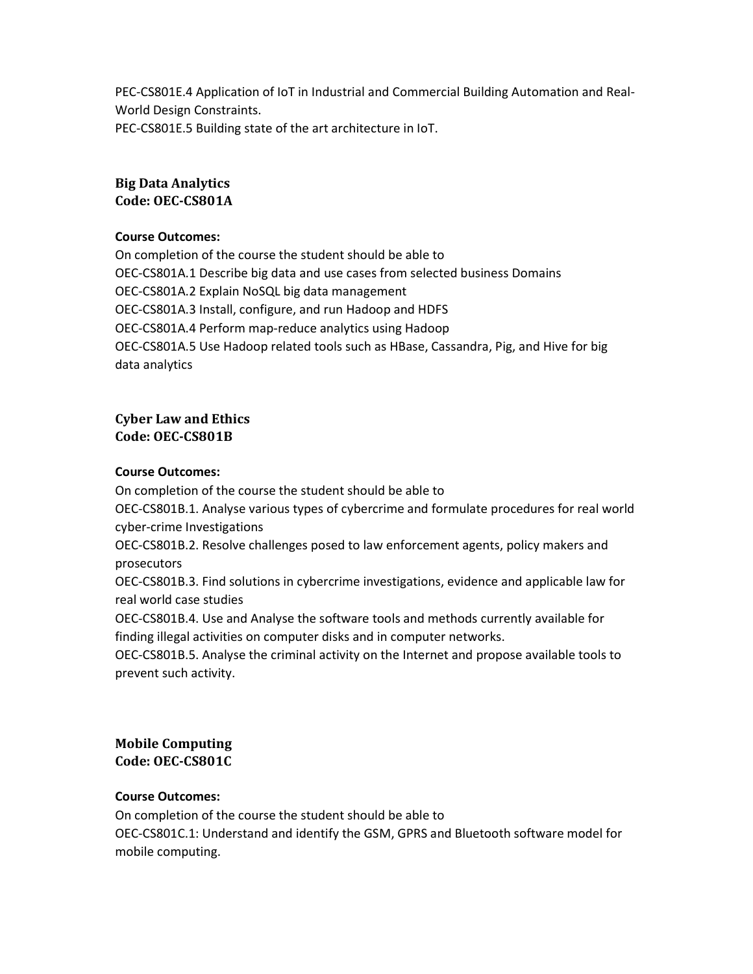PEC-CS801E.4 Application of IoT in Industrial and Commercial Building Automation and Real-World Design Constraints. PEC-CS801E.5 Building state of the art architecture in IoT.

## Big Data Analytics Code: OEC-CS801A

#### Course Outcomes:

On completion of the course the student should be able to OEC-CS801A.1 Describe big data and use cases from selected business Domains OEC-CS801A.2 Explain NoSQL big data management OEC-CS801A.3 Install, configure, and run Hadoop and HDFS OEC-CS801A.4 Perform map-reduce analytics using Hadoop OEC-CS801A.5 Use Hadoop related tools such as HBase, Cassandra, Pig, and Hive for big data analytics

## Cyber Law and Ethics Code: OEC-CS801B

#### Course Outcomes:

On completion of the course the student should be able to OEC-CS801B.1. Analyse various types of cybercrime and formulate procedures for real world cyber-crime Investigations OEC-CS801B.2. Resolve challenges posed to law enforcement agents, policy makers and prosecutors OEC-CS801B.3. Find solutions in cybercrime investigations, evidence and applicable law for real world case studies OEC-CS801B.4. Use and Analyse the software tools and methods currently available for finding illegal activities on computer disks and in computer networks. OEC-CS801B.5. Analyse the criminal activity on the Internet and propose available tools to prevent such activity.

## Mobile Computing Code: OEC-CS801C

## Course Outcomes:

On completion of the course the student should be able to

OEC-CS801C.1: Understand and identify the GSM, GPRS and Bluetooth software model for mobile computing.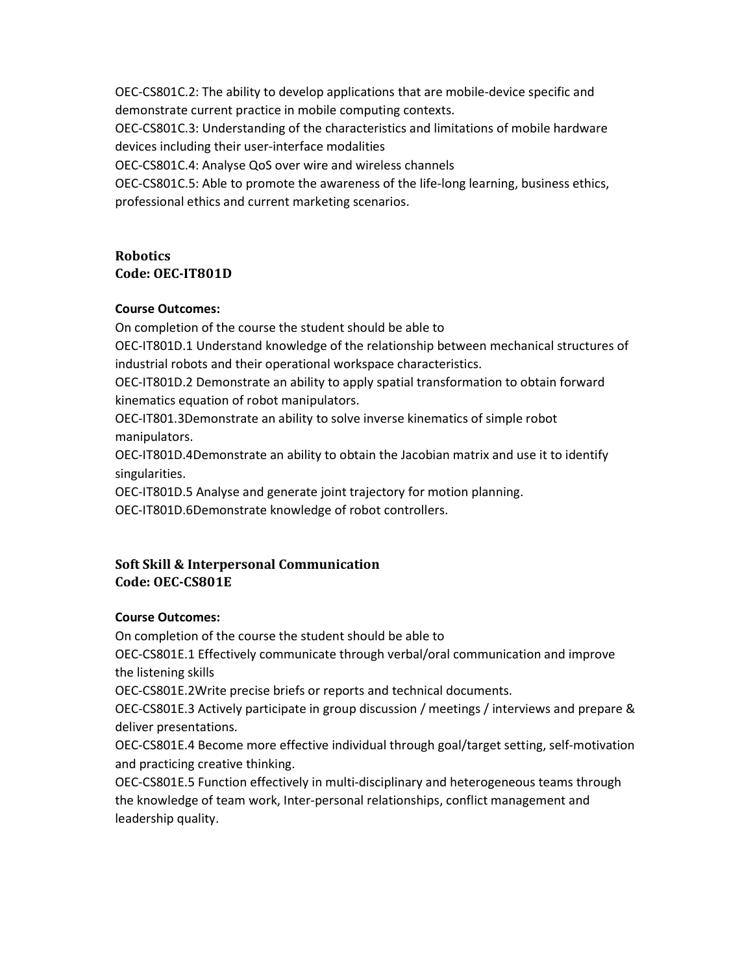OEC-CS801C.2: The ability to develop applications that are mobile-device specific and demonstrate current practice in mobile computing contexts.

OEC-CS801C.3: Understanding of the characteristics and limitations of mobile hardware devices including their user-interface modalities

OEC-CS801C.4: Analyse QoS over wire and wireless channels

OEC-CS801C.5: Able to promote the awareness of the life-long learning, business ethics, professional ethics and current marketing scenarios.

# Robotics Code: OEC-IT801D

## Course Outcomes:

On completion of the course the student should be able to

OEC-IT801D.1 Understand knowledge of the relationship between mechanical structures of industrial robots and their operational workspace characteristics.

OEC-IT801D.2 Demonstrate an ability to apply spatial transformation to obtain forward kinematics equation of robot manipulators.

OEC-IT801.3Demonstrate an ability to solve inverse kinematics of simple robot manipulators.

OEC-IT801D.4Demonstrate an ability to obtain the Jacobian matrix and use it to identify singularities.

OEC-IT801D.5 Analyse and generate joint trajectory for motion planning.

OEC-IT801D.6Demonstrate knowledge of robot controllers.

# Soft Skill & Interpersonal Communication Code: OEC-CS801E

# Course Outcomes:

On completion of the course the student should be able to

OEC-CS801E.1 Effectively communicate through verbal/oral communication and improve the listening skills

OEC-CS801E.2Write precise briefs or reports and technical documents.

OEC-CS801E.3 Actively participate in group discussion / meetings / interviews and prepare & deliver presentations.

OEC-CS801E.4 Become more effective individual through goal/target setting, self-motivation and practicing creative thinking.

OEC-CS801E.5 Function effectively in multi-disciplinary and heterogeneous teams through the knowledge of team work, Inter-personal relationships, conflict management and leadership quality.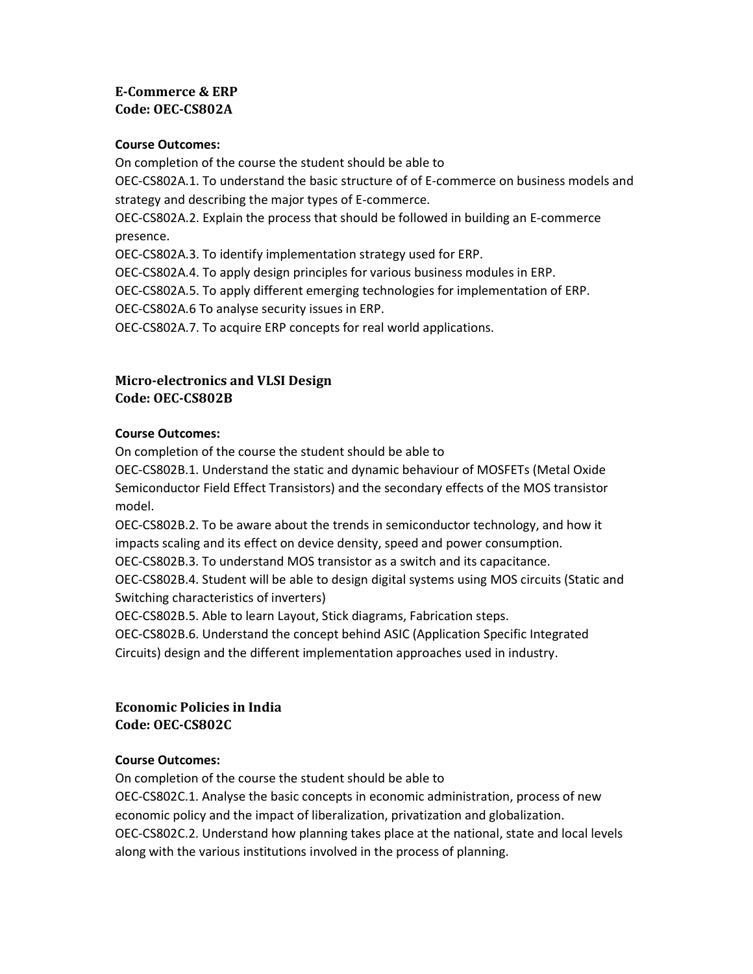# E-Commerce & ERP Code: OEC-CS802A

#### Course Outcomes:

On completion of the course the student should be able to OEC-CS802A.1. To understand the basic structure of of E-commerce on business models and strategy and describing the major types of E-commerce. OEC-CS802A.2. Explain the process that should be followed in building an E-commerce presence. OEC-CS802A.3. To identify implementation strategy used for ERP. OEC-CS802A.4. To apply design principles for various business modules in ERP. OEC-CS802A.5. To apply different emerging technologies for implementation of ERP. OEC-CS802A.6 To analyse security issues in ERP.

OEC-CS802A.7. To acquire ERP concepts for real world applications.

# Micro-electronics and VLSI Design Code: OEC-CS802B

#### Course Outcomes:

On completion of the course the student should be able to

OEC-CS802B.1. Understand the static and dynamic behaviour of MOSFETs (Metal Oxide Semiconductor Field Effect Transistors) and the secondary effects of the MOS transistor model.

OEC-CS802B.2. To be aware about the trends in semiconductor technology, and how it impacts scaling and its effect on device density, speed and power consumption.

OEC-CS802B.3. To understand MOS transistor as a switch and its capacitance.

OEC-CS802B.4. Student will be able to design digital systems using MOS circuits (Static and Switching characteristics of inverters)

OEC-CS802B.5. Able to learn Layout, Stick diagrams, Fabrication steps.

OEC-CS802B.6. Understand the concept behind ASIC (Application Specific Integrated Circuits) design and the different implementation approaches used in industry.

## Economic Policies in India Code: OEC-CS802C

## Course Outcomes:

On completion of the course the student should be able to OEC-CS802C.1. Analyse the basic concepts in economic administration, process of new economic policy and the impact of liberalization, privatization and globalization. OEC-CS802C.2. Understand how planning takes place at the national, state and local levels along with the various institutions involved in the process of planning.